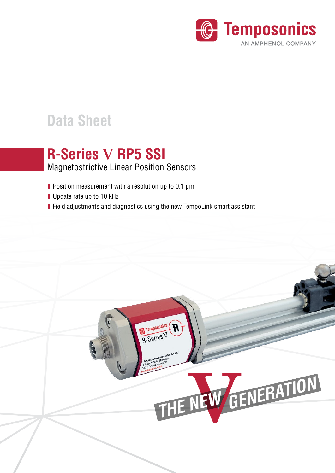

# **Data Sheet**

## Magnetostrictive Linear Position Sensors **R-Series V RP5 SSI**

- **Position measurement with a resolution up to 0.1 µm**
- Update rate up to 10 kHz
- **Field adjustments and diagnostics using the new TempoLink smart assistant**

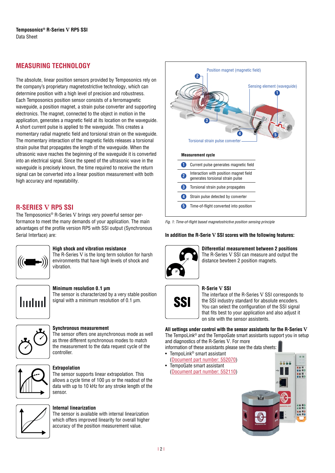### **MEASURING TECHNOLOGY**

The absolute, linear position sensors provided by Temposonics rely on the company's proprietary magnetostrictive technology, which can determine position with a high level of precision and robustness. Each Temposonics position sensor consists of a ferromagnetic waveguide, a position magnet, a strain pulse converter and supporting electronics. The magnet, connected to the object in motion in the application, generates a magnetic field at its location on the waveguide. A short current pulse is applied to the waveguide. This creates a momentary radial magnetic field and torsional strain on the waveguide. The momentary interaction of the magnetic fields releases a torsional strain pulse that propagates the length of the waveguide. When the ultrasonic wave reaches the beginning of the waveguide it is converted into an electrical signal. Since the speed of the ultrasonic wave in the waveguide is precisely known, the time required to receive the return signal can be converted into a linear position measurement with both high accuracy and repeatability.

### **R-SERIES V RP5 SSI**

The Temposonics® R-Series V brings very powerful sensor performance to meet the many demands of your application. The main advantages of the profile version RP5 with SSI output (Synchronous Serial Interface) are:



### **High shock and vibration resistance**

The R-Series V is the long term solution for harsh environments that have high levels of shock and vibration.



#### **Minimum resolution 0.1 μm**

The sensor is characterized by a very stable position signal with a minimum resolution of 0.1 μm.



### **Synchronous measurement**

The sensor offers one asynchronous mode as well as three different synchronous modes to match the measurement to the data request cycle of the controller.



### **Extrapolation**

The sensor supports linear extrapolation. This allows a cycle time of 100 μs or the readout of the data with up to 10 kHz for any stroke length of the sensor.



### **Internal linearization**

The sensor is available with internal linearization which offers improved linearity for overall higher accuracy of the position measurement value.



*Fig. 1: Time-of-flight based magnetostrictive position sensing principle*

### **In addition the R-Serie V SSI scores with the following features:**



**Differential measurement between 2 positions**  The R-Series V SSI can measure and output the distance bewteen 2 position magnets.



#### **R-Serie V SSI**

The interface of the R-Series V SSI corresponds to the SSI industry standard for absolute encoders. You can select the configuration of the SSI signal that fits best to your application and also adjust it on site with the sensor assistents.

**All settings under control with the sensor assistants for the R-Series V** The TempoLink® and the TempoGate smart assistants support you in setup and diagnostics of the R-Series V. For more

information of these assistants please see the data sheets: • TempoLink® smart assistant

- ([Document part number: 552070](https://www.temposonics.com/literature/552070_en))
- TempoGate smart assistant ([Document part number: 552110](https://www.temposonics.com/literature/552110_en))

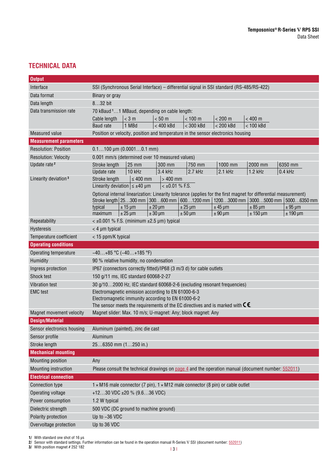### **TECHNICAL DATA**

| <b>Output</b>                    |                                                                                                                                                                                         |  |  |  |  |
|----------------------------------|-----------------------------------------------------------------------------------------------------------------------------------------------------------------------------------------|--|--|--|--|
| Interface                        | SSI (Synchronous Serial Interface) - differential signal in SSI standard (RS-485/RS-422)                                                                                                |  |  |  |  |
| Data format                      | Binary or gray                                                                                                                                                                          |  |  |  |  |
| Data length                      | 832 bit                                                                                                                                                                                 |  |  |  |  |
| Data transmission rate           | 70 kBaud <sup>1</sup> 1 MBaud, depending on cable length:                                                                                                                               |  |  |  |  |
|                                  | $< 200 \text{ m}$<br>$<$ 3 m<br>< 50 m<br>< 100 m<br>$< 400$ m<br>Cable length                                                                                                          |  |  |  |  |
|                                  | < 400 kBd<br>$<$ 300 kBd<br>< 200 kBd<br>$< 100$ kBd<br><b>Baud</b> rate<br>1 MBd                                                                                                       |  |  |  |  |
| Measured value                   | Position or velocity, position and temperature in the sensor electronics housing                                                                                                        |  |  |  |  |
| <b>Measurement parameters</b>    |                                                                                                                                                                                         |  |  |  |  |
| <b>Resolution: Position</b>      | $0.1100 \mu m (0.00010.1 mm)$                                                                                                                                                           |  |  |  |  |
| <b>Resolution: Velocity</b>      | 0.001 mm/s (determined over 10 measured values)                                                                                                                                         |  |  |  |  |
| Update rate <sup>2</sup>         | 25 mm<br>300 mm<br>750 mm<br>1000 mm<br>2000 mm<br>6350 mm<br>Stroke length                                                                                                             |  |  |  |  |
|                                  | 10 kHz<br>3.4 kHz<br>$2.7$ kHz<br>2.1 kHz<br>$1.2$ kHz<br>$0.4$ kHz<br>Update rate                                                                                                      |  |  |  |  |
| Linearity deviation <sup>3</sup> | $>400$ mm<br>Stroke length<br>$\leq 400$ mm                                                                                                                                             |  |  |  |  |
|                                  | $< \pm 0.01$ % F.S.<br>Linearity deviation $\leq \pm 40$ µm                                                                                                                             |  |  |  |  |
|                                  | Optional internal linearization: Linearity tolerance (applies for the first magnet for differential measurement)                                                                        |  |  |  |  |
|                                  | Stroke length 25300 mm 300600 mm 6001200 mm 12003000 mm 30005000 mm 50006350 mm<br>typical<br>$± 15 \mu m$<br>$± 20 \mu m$<br>$± 25 \mu m$<br>$±$ 45 µm<br>$± 85 \mu m$<br>$± 95 \mu m$ |  |  |  |  |
|                                  | $± 25 \mu m$<br>$± 30 \mu m$<br>$± 90 \mu m$<br>$± 150 \mu m$<br>$± 190 \mu m$<br>maximum<br>$± 50 \mu m$                                                                               |  |  |  |  |
| Repeatability                    | $<$ ±0.001 % F.S. (minimum ±2.5 µm) typical                                                                                                                                             |  |  |  |  |
| Hysteresis                       | $<$ 4 µm typical                                                                                                                                                                        |  |  |  |  |
| Temperature coefficient          | < 15 ppm/K typical                                                                                                                                                                      |  |  |  |  |
| <b>Operating conditions</b>      |                                                                                                                                                                                         |  |  |  |  |
| Operating temperature            | $-40+85$ °C ( $-40+185$ °F)                                                                                                                                                             |  |  |  |  |
| Humidity                         | 90 % relative humidity, no condensation                                                                                                                                                 |  |  |  |  |
| Ingress protection               | IP67 (connectors correctly fitted)/IP68 (3 m/3 d) for cable outlets                                                                                                                     |  |  |  |  |
| Shock test                       | 150 g/11 ms, IEC standard 60068-2-27                                                                                                                                                    |  |  |  |  |
| Vibration test                   | 30 g/102000 Hz, IEC standard 60068-2-6 (excluding resonant frequencies)                                                                                                                 |  |  |  |  |
| <b>EMC</b> test                  | Electromagnetic emission according to EN 61000-6-3                                                                                                                                      |  |  |  |  |
|                                  | Electromagnetic immunity according to EN 61000-6-2                                                                                                                                      |  |  |  |  |
|                                  | The sensor meets the requirements of the EC directives and is marked with $\mathsf{C}\mathsf{\pmb{\in}}$                                                                                |  |  |  |  |
| Magnet movement velocity         | Magnet slider: Max. 10 m/s; U-magnet: Any; block magnet: Any                                                                                                                            |  |  |  |  |
| <b>Design/Material</b>           |                                                                                                                                                                                         |  |  |  |  |
| Sensor electronics housing       | Aluminum (painted), zinc die cast                                                                                                                                                       |  |  |  |  |
| Sensor profile                   | Aluminum                                                                                                                                                                                |  |  |  |  |
| Stroke length                    | 256350 mm (1250 in.)                                                                                                                                                                    |  |  |  |  |
| <b>Mechanical mounting</b>       |                                                                                                                                                                                         |  |  |  |  |
| Mounting position                | Any                                                                                                                                                                                     |  |  |  |  |
| Mounting instruction             | Please consult the technical drawings on page 4 and the operation manual (document number: 552011)                                                                                      |  |  |  |  |
| <b>Electrical connection</b>     |                                                                                                                                                                                         |  |  |  |  |
| Connection type                  | $1 \times M16$ male connector (7 pin), $1 \times M12$ male connector (8 pin) or cable outlet                                                                                            |  |  |  |  |
| Operating voltage                | +1230 VDC ±20 % (9.636 VDC)                                                                                                                                                             |  |  |  |  |
| Power consumption                | 1.2 W typical                                                                                                                                                                           |  |  |  |  |
| Dielectric strength              | 500 VDC (DC ground to machine ground)                                                                                                                                                   |  |  |  |  |
| Polarity protection              | Up to -36 VDC                                                                                                                                                                           |  |  |  |  |
| Overvoltage protection           | Up to 36 VDC                                                                                                                                                                            |  |  |  |  |

**1/** With standard one shot of 16 μs

**2/** Sensor with standard settings. Further information can be found in the operation manual R-Series V SSI (document number: [552011\)](https://www.temposonics.com/literature/552011_en)

**3/** With position magnet # 252 182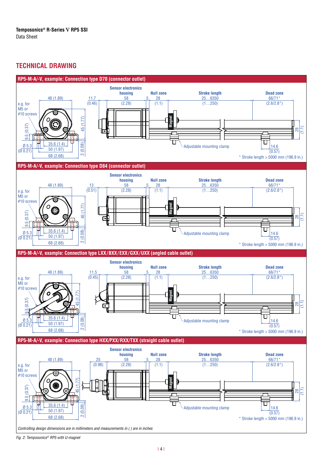### <span id="page-3-0"></span>**TECHNICAL DRAWING**



*Fig. 2: Temposonics® RP5 with U-magnet*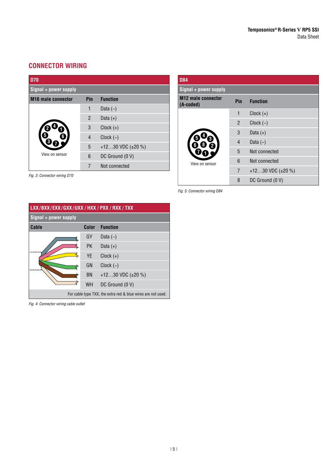### **CONNECTOR WIRING**

*Fig. 3: Connector wiring D70*

| <b>D70</b>                |                |                        |  |  |
|---------------------------|----------------|------------------------|--|--|
| Signal + power supply     |                |                        |  |  |
| <b>M16</b> male connector | Pin            | <b>Function</b>        |  |  |
|                           | 1              | Data $(-)$             |  |  |
|                           | $\overline{2}$ | Data $(+)$             |  |  |
|                           | 3              | $Clock (+)$            |  |  |
|                           | $\overline{4}$ | $Clock (-)$            |  |  |
|                           | 5              | +1230 VDC $(\pm 20\%)$ |  |  |
| View on sensor            | 6              | DC Ground (0 V)        |  |  |
|                           | 7              | Not connected          |  |  |

| <b>D84</b>                             |                |                         |  |  |  |
|----------------------------------------|----------------|-------------------------|--|--|--|
| Signal + power supply                  |                |                         |  |  |  |
| <b>M12 male connector</b><br>(A-coded) | <b>Pin</b>     | <b>Function</b>         |  |  |  |
|                                        | 1              | $Clock (+)$             |  |  |  |
|                                        | $\overline{2}$ | $Clock (-)$             |  |  |  |
|                                        | 3              | Data $(+)$              |  |  |  |
|                                        | $\overline{4}$ | Data $(-)$              |  |  |  |
|                                        | 5              | Not connected           |  |  |  |
| View on sensor                         | 6              | Not connected           |  |  |  |
|                                        | 7              | +1230 VDC $(\pm 20\% )$ |  |  |  |
|                                        | 8              | DC Ground (0 V)         |  |  |  |

*Fig. 5: Connector wiring D84*

| LXX/BXX/EXX/GXX/UXX/HXX/PXX/RXX/TXX                          |           |                        |  |  |  |
|--------------------------------------------------------------|-----------|------------------------|--|--|--|
| $Signal + power supply$                                      |           |                        |  |  |  |
| Cable                                                        | Color     | <b>Function</b>        |  |  |  |
|                                                              | GY        | Data $(-)$             |  |  |  |
|                                                              | <b>PK</b> | Data $(+)$             |  |  |  |
|                                                              | <b>YE</b> | $Clock (+)$            |  |  |  |
|                                                              | GN        | $Clock$ $(-)$          |  |  |  |
|                                                              | BN        | +1230 VDC $(\pm 20\%)$ |  |  |  |
|                                                              | <b>WH</b> | DC Ground (0 V)        |  |  |  |
| For cable type TXX, the extra red & blue wires are not used. |           |                        |  |  |  |

*Fig. 4: Connector wiring cable outlet*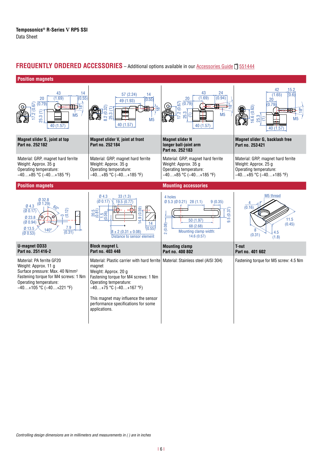### **FREQUENTLY ORDERED ACCESSORIES** - Additional options available in our [Accessories Guide](https://www.temposonics.com/literature/551444_en) [1651444]



*Controlling design dimensions are in millimeters and measurements in ( ) are in inches*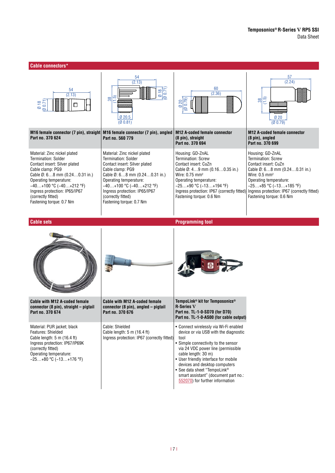| <b>Cable connectors*</b>                                                                                                                                                                                                                                                                     |                                                                                                                                                                                                                                                                                              |                                                                                                                                                                                                                                                                                                                                                                                 |                                                                                                                                                                                                                                                                                   |
|----------------------------------------------------------------------------------------------------------------------------------------------------------------------------------------------------------------------------------------------------------------------------------------------|----------------------------------------------------------------------------------------------------------------------------------------------------------------------------------------------------------------------------------------------------------------------------------------------|---------------------------------------------------------------------------------------------------------------------------------------------------------------------------------------------------------------------------------------------------------------------------------------------------------------------------------------------------------------------------------|-----------------------------------------------------------------------------------------------------------------------------------------------------------------------------------------------------------------------------------------------------------------------------------|
| 54<br>(2.13)<br>$0.18$<br>$0.071$                                                                                                                                                                                                                                                            | 54<br>(2.13)<br>$\frac{018}{(0.71)}$<br>$\frac{38}{1.5}$<br>[0 20.5]<br>(00.81)                                                                                                                                                                                                              | 60<br>(2.36)<br>$\overline{(0.79)}$<br>20<br>ø                                                                                                                                                                                                                                                                                                                                  | 57<br>(2.24)<br>$rac{38}{(1.5)}$<br><u> III III III III III II</u><br>Ø20<br>(00.79)                                                                                                                                                                                              |
| M16 female connector (7 pin), straight<br>Part no. 370 624                                                                                                                                                                                                                                   | M16 female connector (7 pin), angled<br>Part no. 560 779                                                                                                                                                                                                                                     | <b>M12 A-coded female connector</b><br>(8 pin), straight<br>Part no. 370 694                                                                                                                                                                                                                                                                                                    | <b>M12 A-coded female connector</b><br>(8 pin), angled<br>Part no. 370 699                                                                                                                                                                                                        |
| Material: Zinc nickel plated<br><b>Termination: Solder</b><br>Contact insert: Silver plated<br>Cable clamp: PG9<br>Cable Ø: 68 mm (0.240.31 in.)<br>Operating temperature:<br>$-40+100$ °C $(-40+212$ °F)<br>Ingress protection: IP65/IP67<br>(correctly fitted)<br>Fastening torque: 0.7 Nm | Material: Zinc nickel plated<br><b>Termination: Solder</b><br>Contact insert: Silver plated<br>Cable clamp: PG9<br>Cable Ø: 68 mm (0.240.31 in.)<br>Operating temperature:<br>$-40+100$ °C $(-40+212$ °F)<br>Ingress protection: IP65/IP67<br>(correctly fitted)<br>Fastening torque: 0.7 Nm | Housing: GD-ZnAL<br><b>Termination: Screw</b><br>Contact insert: CuZn<br>Cable $\emptyset$ : 49 mm (0.160.35 in.)<br>Wire: 0.75 mm <sup>2</sup><br>Operating temperature:<br>$-25+90$ °C ( $-13+194$ °F)<br>Ingress protection: IP67 (correctly fitted)<br>Fastening torque: 0.6 Nm                                                                                             | Housing: GD-ZnAL<br><b>Termination: Screw</b><br>Contact insert: CuZn<br>Cable $\emptyset$ : 68 mm (0.240.31 in.)<br>Wire: $0.5 \text{ mm}^2$<br>Operating temperature:<br>$-25+85$ °C ( $-13+185$ °F)<br>Ingress protection: IP67 (correctly fitted)<br>Fastening torque: 0.6 Nm |
| <b>Cable sets</b>                                                                                                                                                                                                                                                                            |                                                                                                                                                                                                                                                                                              | <b>Programming tool</b>                                                                                                                                                                                                                                                                                                                                                         |                                                                                                                                                                                                                                                                                   |
|                                                                                                                                                                                                                                                                                              |                                                                                                                                                                                                                                                                                              |                                                                                                                                                                                                                                                                                                                                                                                 |                                                                                                                                                                                                                                                                                   |
| <b>Cable with M12 A-coded female</b><br>connector (8 pin), straight - pigtail<br>Part no. 370 674                                                                                                                                                                                            | Cable with M12 A-coded female<br>connector (8 pin), angled - pigtail<br>Part no. 370 676                                                                                                                                                                                                     | TempoLink® kit for Temposonics®<br><b>R-Series V</b><br>Part no. TL-1-0-SD70 (for D70)<br>Part no. TL-1-0-AS00 (for cable output)                                                                                                                                                                                                                                               |                                                                                                                                                                                                                                                                                   |
| Material: PUR jacket; black<br>Features: Shielded<br>Cable length: 5 m (16.4 ft)<br>Ingress protection: IP67/IP69K<br>(correctly fitted)<br>Operating temperature:<br>$-25+80$ °C ( $-13+176$ °F)                                                                                            | Cable: Shielded<br>Cable length: 5 m (16.4 ft)<br>Ingress protection: IP67 (correctly fitted)                                                                                                                                                                                                | • Connect wirelessly via Wi-Fi enabled<br>device or via USB with the diagnostic<br>tool<br>• Simple connectivity to the sensor<br>via 24 VDC power line (permissible<br>cable length: 30 m)<br>• User friendly interface for mobile<br>devices and desktop computers<br>• See data sheet "TempoLink®<br>smart assistant" (document part no.:<br>552070) for further information |                                                                                                                                                                                                                                                                                   |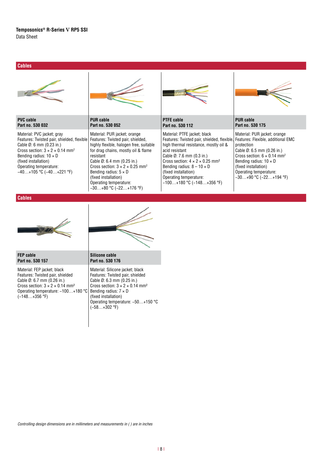### **Temposonics® R-Series V RP5 SSI** Data Sheet

### **Cables**

| <b>PVC</b> cable<br>Part no. 530 032                                                                                                                                                                                                                                                          | <b>PUR cable</b><br>Part no. 530 052                                                                                                                                                                                                                                                                                                                                               | <b>PTFE cable</b><br>Part no. 530 112                                                                                                                                                                                                                                                                                                                              | <b>PUR</b> cable<br>Part no. 530 175                                                                                                                                                                                                                                               |
|-----------------------------------------------------------------------------------------------------------------------------------------------------------------------------------------------------------------------------------------------------------------------------------------------|------------------------------------------------------------------------------------------------------------------------------------------------------------------------------------------------------------------------------------------------------------------------------------------------------------------------------------------------------------------------------------|--------------------------------------------------------------------------------------------------------------------------------------------------------------------------------------------------------------------------------------------------------------------------------------------------------------------------------------------------------------------|------------------------------------------------------------------------------------------------------------------------------------------------------------------------------------------------------------------------------------------------------------------------------------|
| Material: PVC jacket; gray<br>Features: Twisted pair, shielded, flexible<br>Cable $\emptyset$ : 6 mm (0.23 in.)<br>Cross section: $3 \times 2 \times 0.14$ mm <sup>2</sup><br>Bending radius: $10 \times D$<br>(fixed installation)<br>Operating temperature:<br>$-40+105$ °C ( $-40+221$ °F) | Material: PUR jacket; orange<br>Features: Twisted pair, shielded,<br>highly flexible, halogen free, suitable<br>for drag chains, mostly oil & flame<br>resistant<br>Cable $\emptyset$ : 6.4 mm (0.25 in.)<br>Cross section: $3 \times 2 \times 0.25$ mm <sup>2</sup><br>Bending radius: $5 \times D$<br>(fixed installation)<br>Operating temperature:<br>–30…+80 °C (–22…+176 °F) | Material: PTFE jacket; black<br>Features: Twisted pair, shielded, flexible,<br>high thermal resistance, mostly oil &<br>acid resistant<br>Cable $\emptyset$ : 7.6 mm (0.3 in.)<br>Cross section: $4 \times 2 \times 0.25$ mm <sup>2</sup><br>Bending radius: $8 - 10 \times D$<br>(fixed installation)<br>Operating temperature:<br>$-100+180$ °C ( $-148+356$ °F) | Material: PUR jacket; orange<br>Features: Flexible, additional EMC<br>protection<br>Cable Ø: 6.5 mm (0.26 in.)<br>Cross section: $6 \times 0.14$ mm <sup>2</sup><br>Bending radius: $10 \times D$<br>(fixed installation)<br>Operating temperature:<br>$-30+90$ °C ( $-22+194$ °F) |

**Cables**

**FEP cable**





| Part no. 530 157                                        | Part no. 530 176          |
|---------------------------------------------------------|---------------------------|
| Material: FEP jacket; black                             | <b>Material: Silicone</b> |
| Features: Twisted pair, shielded                        | Features: Twisted         |
| Cable $\emptyset$ : 6.7 mm (0.26 in.)                   | Cable Ø: 6.3 mm           |
| Cross section: $3 \times 2 \times 0.14$ mm <sup>2</sup> | Cross section: 3 >        |
| Operating temperature: -100+180 °C                      | Bending radius: 7         |
| $(-148+356$ °F)                                         | (fixed installation)      |
|                                                         |                           |

Material: Silicone jacket; black Features: Twisted pair, shielded Cable Ø: 6.3 mm (0.25 in.) Cross section:  $3 \times 2 \times 0.14$  mm<sup>2</sup> Bending radius: 7 × D (fixed installation) Operating temperature: −50…+150 °C (−58…+302 °F)

*Controlling design dimensions are in millimeters and measurements in ( ) are in inches*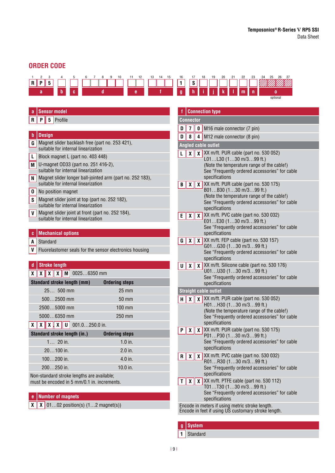### **ORDER CODE**



| a            |                                                                                           | <b>Sensor model</b>       |            |                                                                                       |                                                           |
|--------------|-------------------------------------------------------------------------------------------|---------------------------|------------|---------------------------------------------------------------------------------------|-----------------------------------------------------------|
| R            | P                                                                                         | $5\phantom{.0}$           | Profile    |                                                                                       |                                                           |
|              |                                                                                           |                           |            |                                                                                       |                                                           |
| b            |                                                                                           | <b>Design</b>             |            |                                                                                       |                                                           |
| G I          |                                                                                           |                           |            | suitable for internal linearization                                                   | Magnet slider backlash free (part no. 253 421),           |
| L            |                                                                                           |                           |            | Block magnet L (part no. 403 448)                                                     |                                                           |
| M            |                                                                                           |                           |            | U-magnet OD33 (part no. 251 416-2),<br>suitable for internal linearization            |                                                           |
| N            |                                                                                           |                           |            | suitable for internal linearization                                                   | Magnet slider longer ball-jointed arm (part no. 252 183), |
| $\mathbf{0}$ |                                                                                           |                           |            | No position magnet                                                                    |                                                           |
| S            |                                                                                           |                           |            | Magnet slider joint at top (part no. 252 182),<br>suitable for internal linearization |                                                           |
| V            |                                                                                           |                           |            | suitable for internal linearization                                                   | Magnet slider joint at front (part no. 252 184),          |
|              |                                                                                           |                           |            |                                                                                       |                                                           |
| c            |                                                                                           |                           |            | <b>Mechanical options</b>                                                             |                                                           |
| A            |                                                                                           | Standard                  |            |                                                                                       |                                                           |
| V            |                                                                                           |                           |            |                                                                                       | Fluorelastomer seals for the sensor electronics housing   |
|              |                                                                                           |                           |            |                                                                                       |                                                           |
| d            |                                                                                           | <b>Stroke length</b>      |            |                                                                                       |                                                           |
| χ            |                                                                                           | $x \parallel x \parallel$ |            | $X \parallel M \mid 00256350$ mm                                                      |                                                           |
|              |                                                                                           |                           |            | Standard stroke length (mm)                                                           | <b>Ordering steps</b>                                     |
|              |                                                                                           |                           |            | $25 500$ mm                                                                           | $25 \text{ mm}$                                           |
|              |                                                                                           |                           |            | $5002500$ mm                                                                          | 50 mm                                                     |
|              |                                                                                           |                           |            | 25005000 mm                                                                           | $100 \text{ mm}$                                          |
|              | 50006350 mm<br>250 mm                                                                     |                           |            |                                                                                       |                                                           |
| X            | $X \parallel X \parallel U \parallel 001.0250.0$ in.<br>ΧIΙ                               |                           |            |                                                                                       |                                                           |
|              |                                                                                           |                           |            | Standard stroke length (in.)                                                          | <b>Ordering steps</b>                                     |
|              |                                                                                           |                           | $1 20$ in. |                                                                                       | $1.0$ in.                                                 |
|              |                                                                                           | $20100$ in.               |            |                                                                                       | $2.0$ in.                                                 |
|              | $100200$ in.<br>$4.0$ in.                                                                 |                           |            |                                                                                       |                                                           |
|              | 200250 in.<br>$10.0$ in.                                                                  |                           |            |                                                                                       |                                                           |
|              | Non-standard stroke lengths are available;<br>must be encoded in 5 mm/0.1 in. increments. |                           |            |                                                                                       |                                                           |

### **e Number of magnets**

 $\boxed{\textbf{X} \mid \textbf{X}}$  01...02 position(s)  $(1...2 \text{ magnet(s)})$ 

|                                                                                                        | <b>Connection type</b>                                                   |                                 |                                                                                                        |  |  |  |  |  |
|--------------------------------------------------------------------------------------------------------|--------------------------------------------------------------------------|---------------------------------|--------------------------------------------------------------------------------------------------------|--|--|--|--|--|
|                                                                                                        | <b>Connector</b>                                                         |                                 |                                                                                                        |  |  |  |  |  |
| D                                                                                                      | 7<br><b>0</b> M16 male connector (7 pin)                                 |                                 |                                                                                                        |  |  |  |  |  |
| D                                                                                                      | 8                                                                        | M12 male connector (8 pin)<br>4 |                                                                                                        |  |  |  |  |  |
|                                                                                                        |                                                                          |                                 | <b>Angled cable outlet</b>                                                                             |  |  |  |  |  |
| L                                                                                                      | χ                                                                        |                                 | $\chi$ XX m/ft. PUR cable (part no. 530 052)                                                           |  |  |  |  |  |
|                                                                                                        |                                                                          |                                 | L01L30 (130 m/399 ft.)                                                                                 |  |  |  |  |  |
|                                                                                                        |                                                                          |                                 | (Note the temperature range of the cable!)                                                             |  |  |  |  |  |
|                                                                                                        |                                                                          |                                 | See "Frequently ordered accessories" for cable<br>specifications                                       |  |  |  |  |  |
| В                                                                                                      | $\mathbf{X}$                                                             |                                 | $\chi$ XX m/ft. PUR cable (part no. 530 175)                                                           |  |  |  |  |  |
|                                                                                                        |                                                                          |                                 | B01B30 (130 m/399 ft.)                                                                                 |  |  |  |  |  |
|                                                                                                        |                                                                          |                                 | (Note the temperature range of the cable!)                                                             |  |  |  |  |  |
|                                                                                                        |                                                                          |                                 | See "Frequently ordered accessories" for cable<br>specifications                                       |  |  |  |  |  |
| E                                                                                                      | X                                                                        |                                 | $\chi$ XX m/ft. PVC cable (part no. 530 032)                                                           |  |  |  |  |  |
|                                                                                                        |                                                                          |                                 | E01E30 (130 m/399 ft.)                                                                                 |  |  |  |  |  |
|                                                                                                        |                                                                          |                                 | See "Frequently ordered accessories" for cable                                                         |  |  |  |  |  |
|                                                                                                        |                                                                          |                                 | specifications                                                                                         |  |  |  |  |  |
| G                                                                                                      | χ                                                                        |                                 | $\chi$ XX m/ft. FEP cable (part no. 530 157)<br>$G01G30$ $(130$ m/399 ft.)                             |  |  |  |  |  |
|                                                                                                        |                                                                          |                                 | See "Frequently ordered accessories" for cable                                                         |  |  |  |  |  |
|                                                                                                        |                                                                          |                                 | specifications                                                                                         |  |  |  |  |  |
|                                                                                                        |                                                                          |                                 | $\mathbf{U} \parallel \mathbf{X} \parallel \mathbf{X} \times m$ /ft. Silicone cable (part no. 530 176) |  |  |  |  |  |
|                                                                                                        | U01U30 (130 m/399 ft.)<br>See "Frequently ordered accessories" for cable |                                 |                                                                                                        |  |  |  |  |  |
|                                                                                                        |                                                                          |                                 | specifications                                                                                         |  |  |  |  |  |
|                                                                                                        |                                                                          |                                 | <b>Straight cable outlet</b>                                                                           |  |  |  |  |  |
| Н                                                                                                      | χ                                                                        |                                 | $\chi$ XX m/ft. PUR cable (part no. 530 052)                                                           |  |  |  |  |  |
|                                                                                                        |                                                                          |                                 | $H01H30$ (130 m/399 ft.)                                                                               |  |  |  |  |  |
|                                                                                                        |                                                                          |                                 | (Note the temperature range of the cable!)<br>See "Frequently ordered accessories" for cable           |  |  |  |  |  |
|                                                                                                        |                                                                          |                                 | specifications                                                                                         |  |  |  |  |  |
| Ρ                                                                                                      | χ                                                                        |                                 | $\chi$ XX m/ft. PUR cable (part no. 530 175)                                                           |  |  |  |  |  |
|                                                                                                        |                                                                          |                                 | P01P30 (130 m/399 ft.)                                                                                 |  |  |  |  |  |
|                                                                                                        |                                                                          |                                 | See "Frequently ordered accessories" for cable<br>specifications                                       |  |  |  |  |  |
|                                                                                                        |                                                                          |                                 | $\mathbf{R} \parallel \mathbf{X} \parallel \mathbf{X}$ XX m/ft. PVC cable (part no. 530 032)           |  |  |  |  |  |
|                                                                                                        |                                                                          |                                 | R01R30 (130 m/399 ft.)                                                                                 |  |  |  |  |  |
|                                                                                                        |                                                                          |                                 | See "Frequently ordered accessories" for cable                                                         |  |  |  |  |  |
|                                                                                                        |                                                                          |                                 | specifications                                                                                         |  |  |  |  |  |
| Τ                                                                                                      | X.                                                                       |                                 | $\chi$ XX m/ft. PTFE cable (part no. 530 112)<br>T01T30 (130 m/399 ft.)                                |  |  |  |  |  |
|                                                                                                        |                                                                          |                                 | See "Frequently ordered accessories" for cable                                                         |  |  |  |  |  |
|                                                                                                        | specifications                                                           |                                 |                                                                                                        |  |  |  |  |  |
| Encode in meters if using metric stroke length.<br>Encode in feet if using US customary stroke length. |                                                                          |                                 |                                                                                                        |  |  |  |  |  |
|                                                                                                        |                                                                          |                                 |                                                                                                        |  |  |  |  |  |
|                                                                                                        |                                                                          |                                 |                                                                                                        |  |  |  |  |  |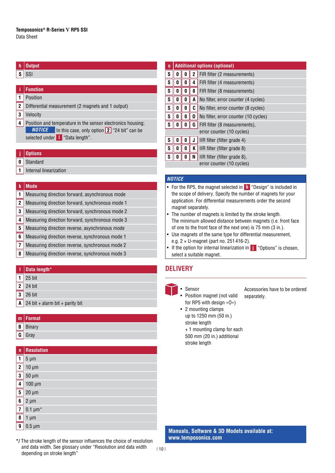### **h Output**

### $s$  SSI

### **i Function**

- **1** Position
- **2** Differential measurement (2 magnets and 1 output)
- **3** Velocity
- **4** Position and temperature in the sensor electronics housing; *NOTICE* In this case, only option 2 "24 bit" can be selected under **l** "Data length".

#### **j Options**

- **0** Standard
- **1** Internal linearization

### **k Mode**

- **1** Measuring direction forward, asynchronous mode
- **2** Measuring direction forward, synchronous mode 1
- **3** Measuring direction forward, synchronous mode 2
- **4** Measuring direction forward, synchronous mode 3
- **5** Measuring direction reverse, asynchronous mode
- **6** Measuring direction reverse, synchronous mode 1
- **7** Measuring direction reverse, synchronous mode 2
- **8** Measuring direction reverse, synchronous mode 3

### **l Data length\***

- **1** 25 bit
- **2** 24 bit
- **3** 26 bit
- **A** 24 bit + alarm bit + parity bit

### **m Format B** Binary

- 
- **G** Gray **n Resolution 1**  $\frac{1}{5}$  µm **2** 10 µm  $3 \mid 50 \text{ µm}$ **4** 100 µm **5** 20 µm  $6 \mid 2 \text{ um}$  $\overline{7}$  0.1 um<sup>\*</sup>

| <u>__</u> … …        |
|----------------------|
| $\boxed{8}$ 1 µm     |
| $\frac{1}{9}$ 0.5 µm |
|                      |

| $\bf{0}$ | <b>Additional options (optional)</b> |   |   |                                      |  |  |
|----------|--------------------------------------|---|---|--------------------------------------|--|--|
| S        | U                                    | 0 | 2 | FIR filter (2 measurements)          |  |  |
| S        | 0                                    | 0 | 4 | FIR filter (4 measurements)          |  |  |
| S        | 0                                    | 0 | 8 | FIR filter (8 measurements)          |  |  |
| S        | 0                                    | 0 | A | No filter, error counter (4 cycles)  |  |  |
| S        | 0                                    | 0 | C | No filter, error counter (8 cycles)  |  |  |
| S        | 0                                    | 0 | D | No filter, error counter (10 cycles) |  |  |
| S        | Λ                                    | Λ | G | FIR filter (8 measurements),         |  |  |
|          | error counter (10 cycles)            |   |   |                                      |  |  |
| S        | 0                                    | 0 |   | IIR filter (filter grade 4)          |  |  |
| S        | 0                                    | 0 | K | IIR filter (filter grade 8)          |  |  |
| S        | Λ                                    | Λ | N | IIR filter (filter grade 8),         |  |  |
|          | error counter (10 cycles)            |   |   |                                      |  |  |

### *NOTICE*

- For the RP5, the magnet selected in **b** "Design" is included in the scope of delivery. Specify the number of magnets for your application. For differential measurements order the second magnet separately.
- The number of magnets is limited by the stroke length. The minimum allowed distance between magnets (i.e. front face of one to the front face of the next one) is 75 mm (3 in.).
- Use magnets of the same type for differential measurement, e.g. 2 × U-magnet (part no. 251 416-2).
- If the option for internal linearization in **j** "Options" is chosen, select a suitable magnet.

### **DELIVERY**

- Sensor
	- Position magnet (not valid for RP5 with design »O«)
	- 2 mounting clamps up to 1250 mm (50 in.) stroke length + 1 mounting clamp for each 500 mm (20 in.) additional stroke length

### Accessories have to be ordered separately.

**Manuals, Software & 3D Models available at: [www.temposonics.com](http://www.temposonics.com)**

\*/ The stroke length of the sensor influences the choice of resolution and data width. See glossary under "Resolution and data width depending on stroke length"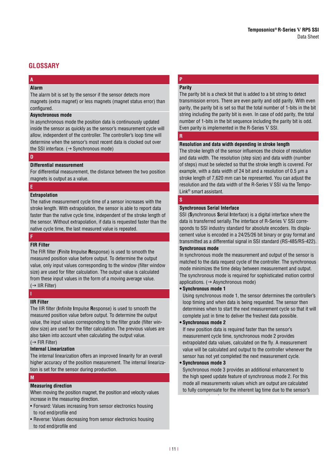### **GLOSSARY**

#### **A Alarm**

The alarm bit is set by the sensor if the sensor detects more magnets (extra magnet) or less magnets (magnet status error) than configured.

### **Asynchronous mode**

In asynchronous mode the position data is continuously updated inside the sensor as quickly as the sensor's measurement cycle will allow, independent of the controller. The controller's loop time will determine when the sensor's most recent data is clocked out over the SSI interface.  $(\rightarrow$  Synchronous mode)

### **D**

### **Differential measurement**

For differential measurement, the distance between the two position magnets is output as a value.

### **E**

### **Extrapolation**

The native measurement cycle time of a sensor increases with the stroke length. With extrapolation, the sensor is able to report data faster than the native cycle time, independent of the stroke length of the sensor. Without extrapolation, if data is requested faster than the native cycle time, the last measured value is repeated.

#### **F**

### **FIR Filter**

The FIR filter (Finite Impulse Response) is used to smooth the measured position value before output. To determine the output value, only input values corresponding to the window (filter window size) are used for filter calculation. The output value is calculated from these input values in the form of a moving average value.  $(\rightarrow$  IIR Filter)

### **IIR Filter**

**I**

The IIR filter (Infinite Impulse Response) is used to smooth the measured position value before output. To determine the output value, the input values corresponding to the filter grade (filter window size) are used for the filter calculation. The previous values are also taken into account when calculating the output value.  $(\rightarrow$  FIR Filter)

### **Internal Linearization**

The internal linearization offers an improved linearity for an overall higher accuracy of the position measurement. The internal linearization is set for the sensor during production.

### **M**

### **Measuring direction**

When moving the position magnet, the position and velocity values increase in the measuring direction.

- Forward: Values increasing from sensor electronics housing to rod end/profile end
- Reverse: Values decreasing from sensor electronics housing to rod end/profile end

### **P Parity**

The parity bit is a check bit that is added to a bit string to detect transmission errors. There are even parity and odd parity. With even parity, the parity bit is set so that the total number of 1-bits in the bit string including the parity bit is even. In case of odd parity, the total number of 1-bits in the bit sequence including the parity bit is odd. Even parity is implemented in the R-Series V SSI.

### **R**

### **Resolution and data width depending in stroke length**

The stroke length of the sensor influences the choice of resolution and data width. The resolution (step size) and data width (number of steps) must be selected so that the stroke length is covered. For example, with a data width of 24 bit and a resolution of 0.5 µm a stroke length of 7,620 mm can be represented. You can adjust the resolution and the data width of the R-Series V SSI via the Tempo-Link® smart assistant.

### **S**

#### **Synchronous Serial Interface**

SSI (**S**ynchronous **S**erial **I**nterface) is a digital interface where the data is transferred serially.The interface of R-Series V SSI corresponds to SSI industry standard for absolute encoders. Its displacement value is encoded in a 24/25/26 bit binary or gray format and transmitted as a differential signal in SSI standard (RS-485/RS-422). **Synchronous mode** 

In synchronous mode the measurement and output of the sensor is matched to the data request cycle of the controller. The synchronous mode minimizes the time delay between measurement and output. The synchronous mode is required for sophisticated motion control applications.  $(\rightarrow$  Asynchronous mode)

#### **• Synchronous mode 1**

Using synchronous mode 1, the sensor determines the controller's loop timing and when data is being requested. The sensor then determines when to start the next measurement cycle so that it will complete just in time to deliver the freshest data possible.

### **• Synchronous mode 2**

If new position data is required faster than the sensor's measurement cycle time, synchronous mode 2 provides extrapolated data values, calculated on the fly. A measurement value will be calculated and output to the controller whenever the sensor has not yet completed the next measurement cycle.

### **• Synchronous mode 3**

measurement cycle.

Synchronous mode 3 provides an additional enhancement to the high speed update feature of synchronous mode 2. For this mode all measurements values which are output are calculated to fully compensate for the inherent lag time due to the sensor's